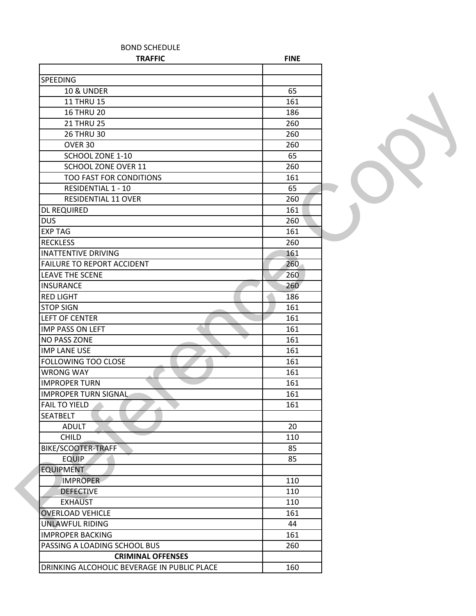| <b>BOND SCHEDULE</b>                        |             |  |
|---------------------------------------------|-------------|--|
| <b>TRAFFIC</b>                              | <b>FINE</b> |  |
|                                             |             |  |
| <b>SPEEDING</b>                             |             |  |
| <b>10 &amp; UNDER</b>                       | 65          |  |
| <b>11 THRU 15</b>                           | 161         |  |
| <b>16 THRU 20</b>                           | 186         |  |
| <b>21 THRU 25</b>                           | 260         |  |
| <b>26 THRU 30</b>                           | 260         |  |
| OVER 30                                     | 260         |  |
| SCHOOL ZONE 1-10                            | 65          |  |
| SCHOOL ZONE OVER 11                         | 260         |  |
| TOO FAST FOR CONDITIONS                     | 161         |  |
| <b>RESIDENTIAL 1 - 10</b>                   | 65          |  |
| RESIDENTIAL 11 OVER                         | 260         |  |
| <b>DL REQUIRED</b>                          | 161         |  |
| <b>DUS</b>                                  | 260         |  |
| <b>EXP TAG</b>                              | 161         |  |
| <b>RECKLESS</b>                             | 260         |  |
| <b>INATTENTIVE DRIVING</b>                  | 161         |  |
| <b>FAILURE TO REPORT ACCIDENT</b>           | 260         |  |
| <b>LEAVE THE SCENE</b>                      | 260         |  |
| <b>INSURANCE</b>                            | 260         |  |
| <b>RED LIGHT</b>                            | 186         |  |
| <b>STOP SIGN</b>                            | 161         |  |
| <b>LEFT OF CENTER</b>                       | 161         |  |
| <b>IMP PASS ON LEFT</b>                     | 161         |  |
| <b>NO PASS ZONE</b>                         | 161         |  |
| <b>IMP LANE USE</b>                         | 161         |  |
| <b>FOLLOWING TOO CLOSE</b>                  | 161         |  |
| <b>WRONG WAY</b>                            | 161         |  |
| <b>IMPROPER TURN</b>                        | 161         |  |
| <b>IMPROPER TURN SIGNAL</b>                 | 161         |  |
| <b>FAIL TO YIELD</b>                        | 161         |  |
| <b>SEATBELT</b>                             |             |  |
| <b>ADULT</b>                                | 20          |  |
| <b>CHILD</b>                                | 110         |  |
| BIKE/SCOOTER-TRAFF                          | 85          |  |
| <b>EQUIP</b>                                | 85          |  |
| <b>EQUIPMENT</b>                            |             |  |
|                                             |             |  |
| <b>IMPROPER</b>                             | 110         |  |
| <b>DEFECTIVE</b>                            | 110         |  |
| <b>EXHAUST</b>                              | 110         |  |
| <b>OVERLOAD VEHICLE</b>                     | 161         |  |
| <b>UNLAWFUL RIDING</b>                      | 44          |  |
| <b>IMPROPER BACKING</b>                     | 161         |  |
| PASSING A LOADING SCHOOL BUS                | 260         |  |
| <b>CRIMINAL OFFENSES</b>                    |             |  |
| DRINKING ALCOHOLIC BEVERAGE IN PUBLIC PLACE | 160         |  |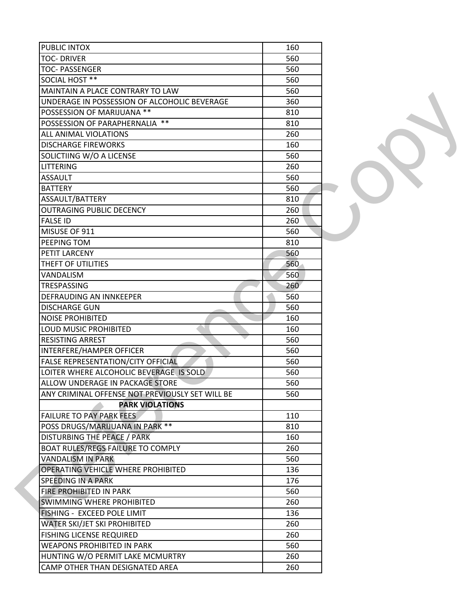| <b>PUBLIC INTOX</b>                             | 160 |  |
|-------------------------------------------------|-----|--|
| <b>TOC- DRIVER</b>                              | 560 |  |
| <b>TOC- PASSENGER</b>                           | 560 |  |
|                                                 |     |  |
| SOCIAL HOST **                                  | 560 |  |
| MAINTAIN A PLACE CONTRARY TO LAW                | 560 |  |
| UNDERAGE IN POSSESSION OF ALCOHOLIC BEVERAGE    | 360 |  |
| POSSESSION OF MARIJUANA **                      | 810 |  |
| POSSESSION OF PARAPHERNALIA **                  | 810 |  |
| ALL ANIMAL VIOLATIONS                           | 260 |  |
| <b>DISCHARGE FIREWORKS</b>                      | 160 |  |
| SOLICTIING W/O A LICENSE                        | 560 |  |
| <b>LITTERING</b>                                | 260 |  |
| <b>ASSAULT</b>                                  | 560 |  |
| <b>BATTERY</b>                                  | 560 |  |
| ASSAULT/BATTERY                                 | 810 |  |
| <b>OUTRAGING PUBLIC DECENCY</b>                 | 260 |  |
| <b>FALSE ID</b>                                 | 260 |  |
| MISUSE OF 911                                   | 560 |  |
| PEEPING TOM                                     | 810 |  |
| PETIT LARCENY                                   | 560 |  |
| THEFT OF UTILITIES                              | 560 |  |
| VANDALISM                                       | 560 |  |
| <b>TRESPASSING</b>                              | 260 |  |
| DEFRAUDING AN INNKEEPER                         | 560 |  |
| <b>DISCHARGE GUN</b>                            | 560 |  |
| <b>NOISE PROHIBITED</b>                         | 160 |  |
| <b>LOUD MUSIC PROHIBITED</b>                    | 160 |  |
| <b>RESISTING ARREST</b>                         | 560 |  |
| INTERFERE/HAMPER OFFICER                        | 560 |  |
| FALSE REPRESENTATION/CITY OFFICIAL              | 560 |  |
| LOITER WHERE ALCOHOLIC BEVERAGE IS SOLD         | 560 |  |
| ALLOW UNDERAGE IN PACKAGE STORE                 | 560 |  |
| ANY CRIMINAL OFFENSE NOT PREVIOUSLY SET WILL BE | 560 |  |
| <b>PARK VIOLATIONS</b>                          |     |  |
| <b>FAILURE TO PAY PARK FEES</b>                 | 110 |  |
|                                                 |     |  |
| POSS DRUGS/MARIJUANA IN PARK **                 | 810 |  |
| DISTURBING THE PEACE / PARK                     | 160 |  |
| BOAT RULES/REGS FAILURE TO COMPLY               | 260 |  |
| <b>VANDALISM IN PARK</b>                        | 560 |  |
| OPERATING VEHICLE WHERE PROHIBITED              | 136 |  |
| SPEEDING IN A PARK                              | 176 |  |
| FIRE PROHIBITED IN PARK                         | 560 |  |
| SWIMMING WHERE PROHIBITED                       | 260 |  |
| FISHING - EXCEED POLE LIMIT                     | 136 |  |
| WATER SKI/JET SKI PROHIBITED                    | 260 |  |
| <b>FISHING LICENSE REQUIRED</b>                 | 260 |  |
| <b>WEAPONS PROHIBITED IN PARK</b>               | 560 |  |
| HUNTING W/O PERMIT LAKE MCMURTRY                | 260 |  |
| CAMP OTHER THAN DESIGNATED AREA                 | 260 |  |